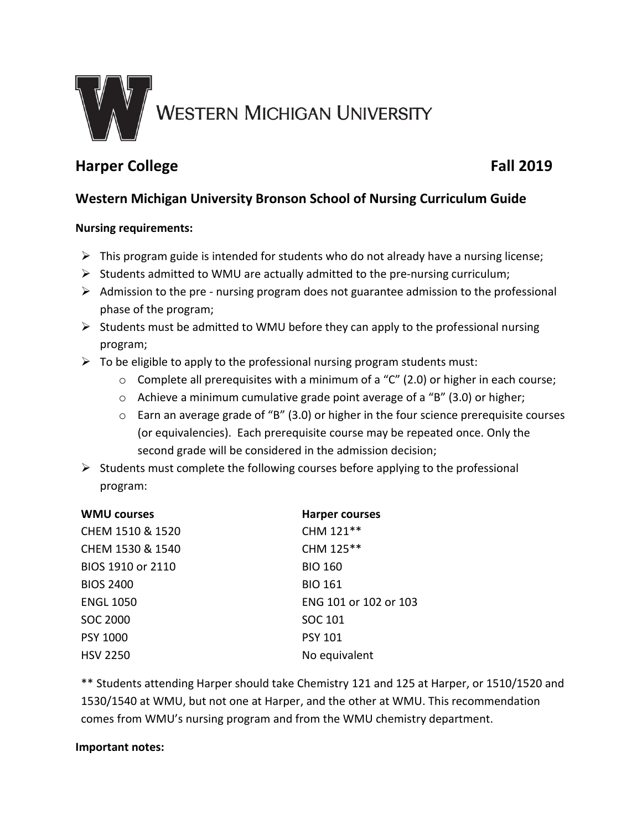

# **Harper College Fall 2019**

## **Western Michigan University Bronson School of Nursing Curriculum Guide**

#### **Nursing requirements:**

- $\triangleright$  This program guide is intended for students who do not already have a nursing license;
- $\triangleright$  Students admitted to WMU are actually admitted to the pre-nursing curriculum;
- $\triangleright$  Admission to the pre nursing program does not guarantee admission to the professional phase of the program;
- $\triangleright$  Students must be admitted to WMU before they can apply to the professional nursing program;
- $\triangleright$  To be eligible to apply to the professional nursing program students must:
	- $\circ$  Complete all prerequisites with a minimum of a "C" (2.0) or higher in each course;
	- o Achieve a minimum cumulative grade point average of a "B" (3.0) or higher;
	- o Earn an average grade of "B" (3.0) or higher in the four science prerequisite courses (or equivalencies). Each prerequisite course may be repeated once. Only the second grade will be considered in the admission decision;
- $\triangleright$  Students must complete the following courses before applying to the professional program:

| <b>WMU courses</b> | <b>Harper courses</b> |
|--------------------|-----------------------|
| CHEM 1510 & 1520   | CHM 121**             |
| CHEM 1530 & 1540   | CHM 125**             |
| BIOS 1910 or 2110  | <b>BIO 160</b>        |
| <b>BIOS 2400</b>   | <b>BIO 161</b>        |
| <b>ENGL 1050</b>   | ENG 101 or 102 or 103 |
| SOC 2000           | SOC 101               |
| <b>PSY 1000</b>    | <b>PSY 101</b>        |
| <b>HSV 2250</b>    | No equivalent         |

\*\* Students attending Harper should take Chemistry 121 and 125 at Harper, or 1510/1520 and 1530/1540 at WMU, but not one at Harper, and the other at WMU. This recommendation comes from WMU's nursing program and from the WMU chemistry department.

#### **Important notes:**